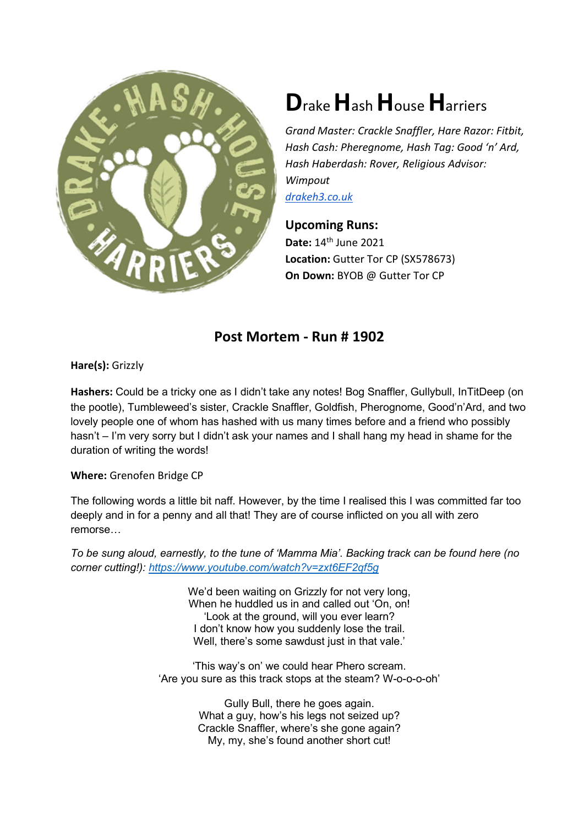

## Drake Hash House Harriers

Grand Master: Crackle Snaffler, Hare Razor: Fitbit, Hash Cash: Pheregnome, Hash Tag: Good 'n' Ard, Hash Haberdash: Rover, Religious Advisor: Wimpout drakeh3.co.uk

Upcoming Runs: Date: 14<sup>th</sup> June 2021 Location: Gutter Tor CP (SX578673) On Down: BYOB @ Gutter Tor CP

## Post Mortem - Run # 1902

Hare(s): Grizzly

Hashers: Could be a tricky one as I didn't take any notes! Bog Snaffler, Gullybull, InTitDeep (on the pootle), Tumbleweed's sister, Crackle Snaffler, Goldfish, Pherognome, Good'n'Ard, and two lovely people one of whom has hashed with us many times before and a friend who possibly hasn't – I'm very sorry but I didn't ask your names and I shall hang my head in shame for the duration of writing the words!

Where: Grenofen Bridge CP

The following words a little bit naff. However, by the time I realised this I was committed far too deeply and in for a penny and all that! They are of course inflicted on you all with zero remorse…

To be sung aloud, earnestly, to the tune of 'Mamma Mia'. Backing track can be found here (no corner cutting!): https://www.youtube.com/watch?v=zxt6EF2qf5g

> We'd been waiting on Grizzly for not very long, When he huddled us in and called out 'On, on! 'Look at the ground, will you ever learn? I don't know how you suddenly lose the trail. Well, there's some sawdust just in that vale.'

'This way's on' we could hear Phero scream. 'Are you sure as this track stops at the steam? W-o-o-o-oh'

> Gully Bull, there he goes again. What a guy, how's his legs not seized up? Crackle Snaffler, where's she gone again? My, my, she's found another short cut!